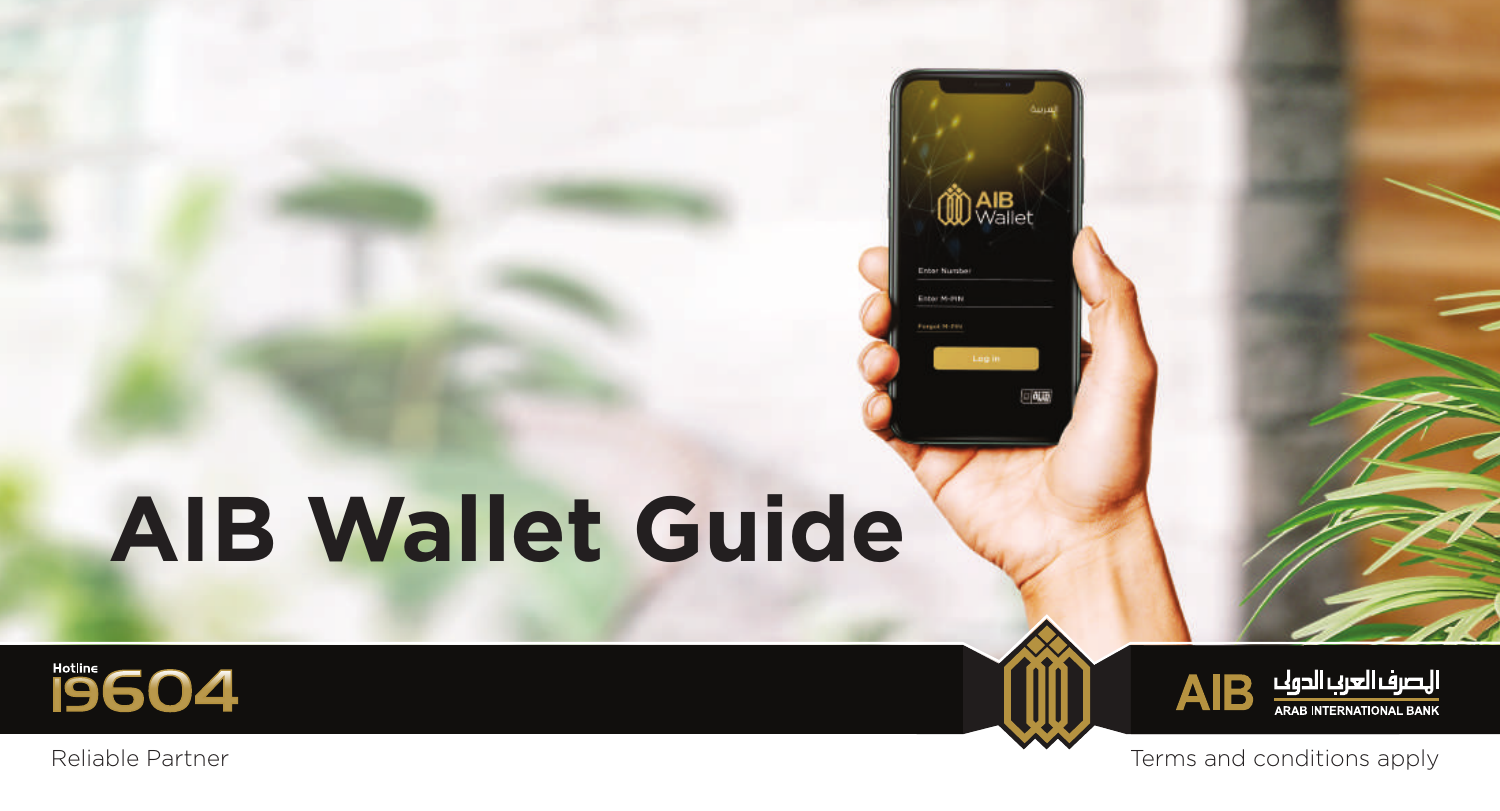# **AIB Wallet Guide**





Reliable Partner Terms and conditions apply

**OD** AlB

Enter Numbe Enter M-PIN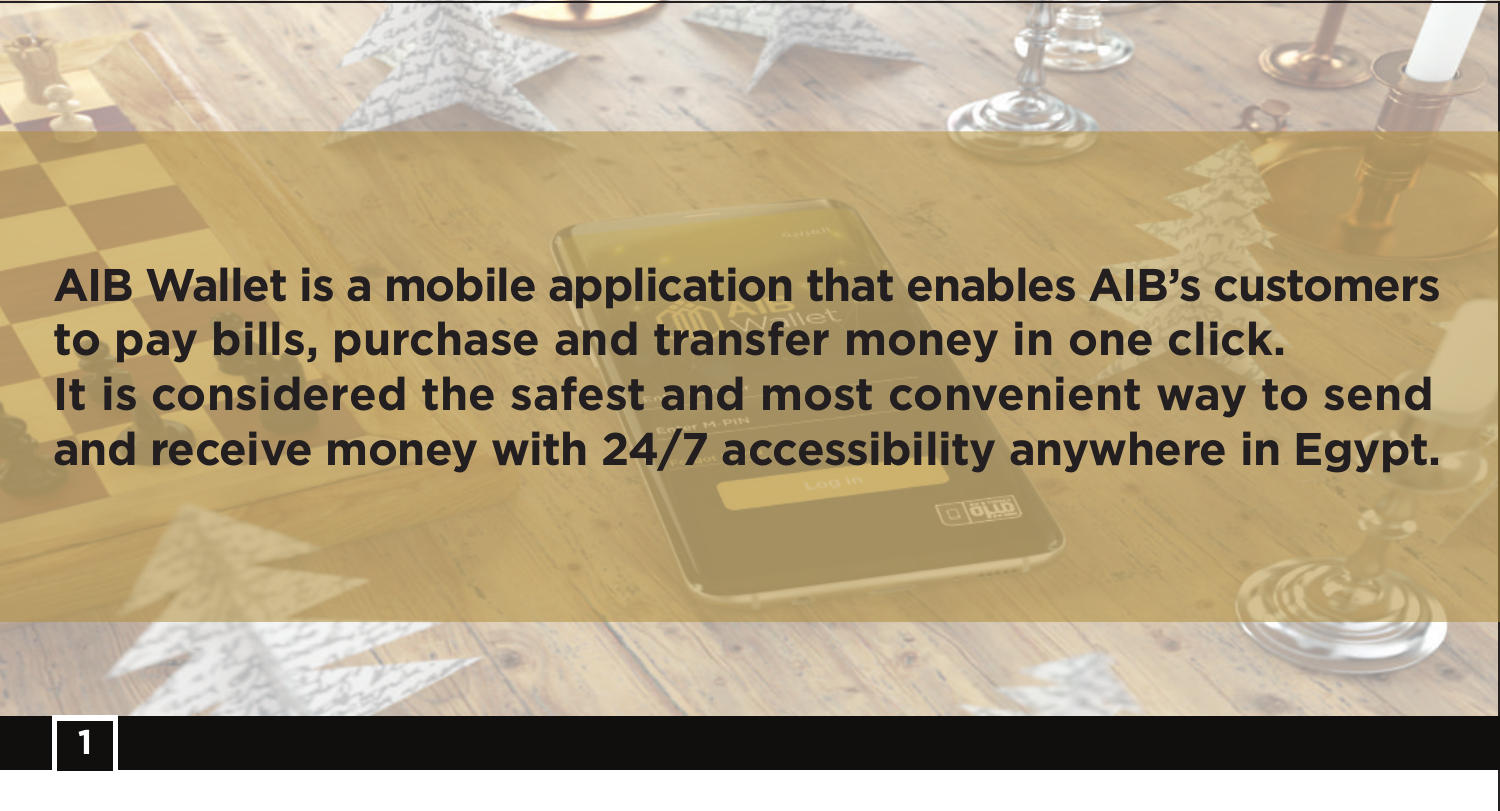**AIB Wallet is a mobile application that enables AIB's customers to pay bills, purchase and transfer money in one click. It is considered the safest and most convenient way to send and receive money with 24/7 accessibility anywhere in Egypt.**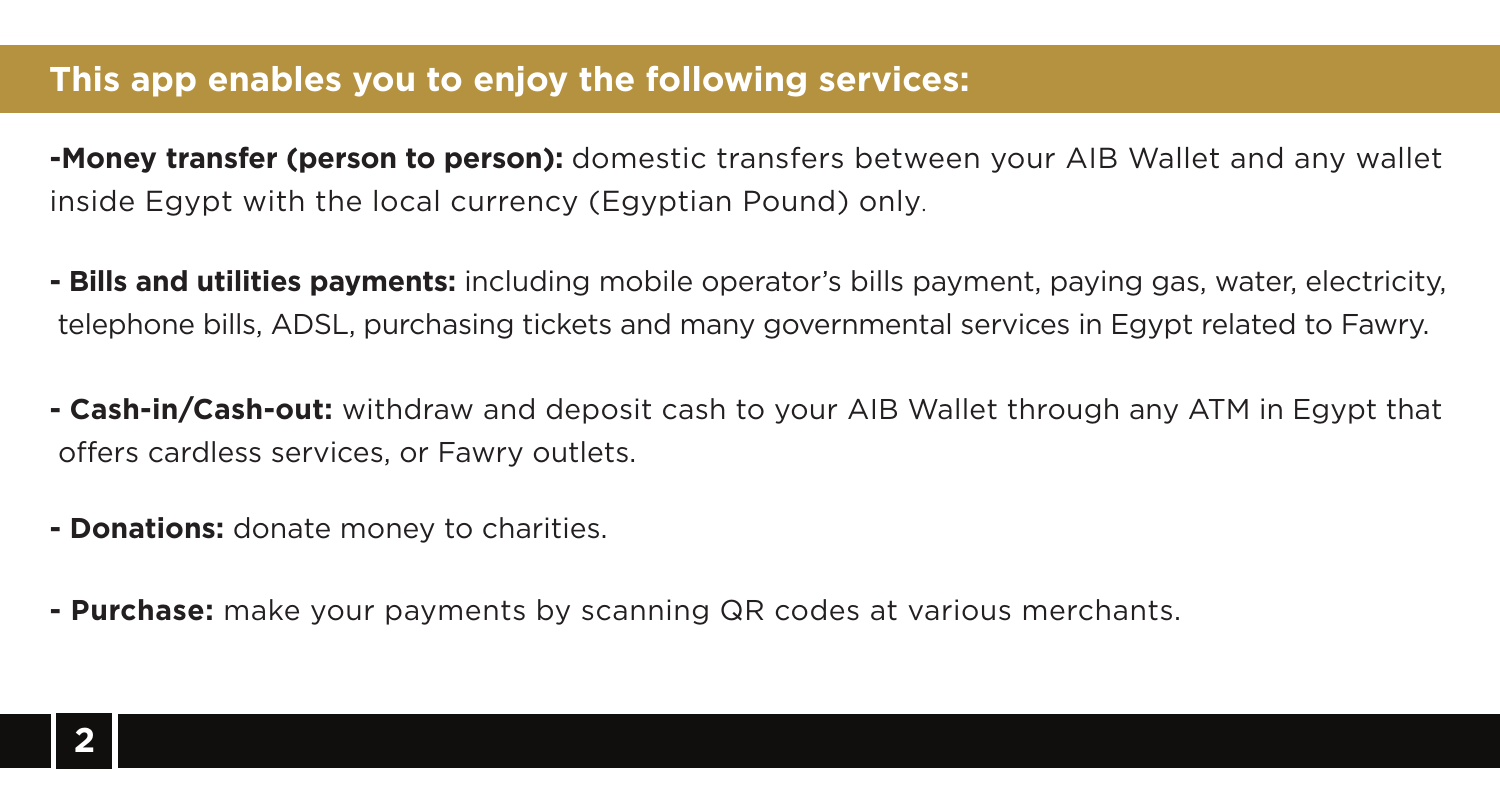#### **This app enables you to enjoy the following services:**

**-Money transfer (person to person):** domestic transfers between your AIB Wallet and any wallet inside Egypt with the local currency (Egyptian Pound) only.

- **Bills and utilities payments:** including mobile operator's bills payment, paying gas, water, electricity, telephone bills, ADSL, purchasing tickets and many governmental services in Egypt related to Fawry.
- **Cash-in/Cash-out:** withdraw and deposit cash to your AIB Wallet through any ATM in Egypt that offers cardless services, or Fawry outlets.
- **Donations:** donate money to charities.
- **Purchase:** make your payments by scanning QR codes at various merchants.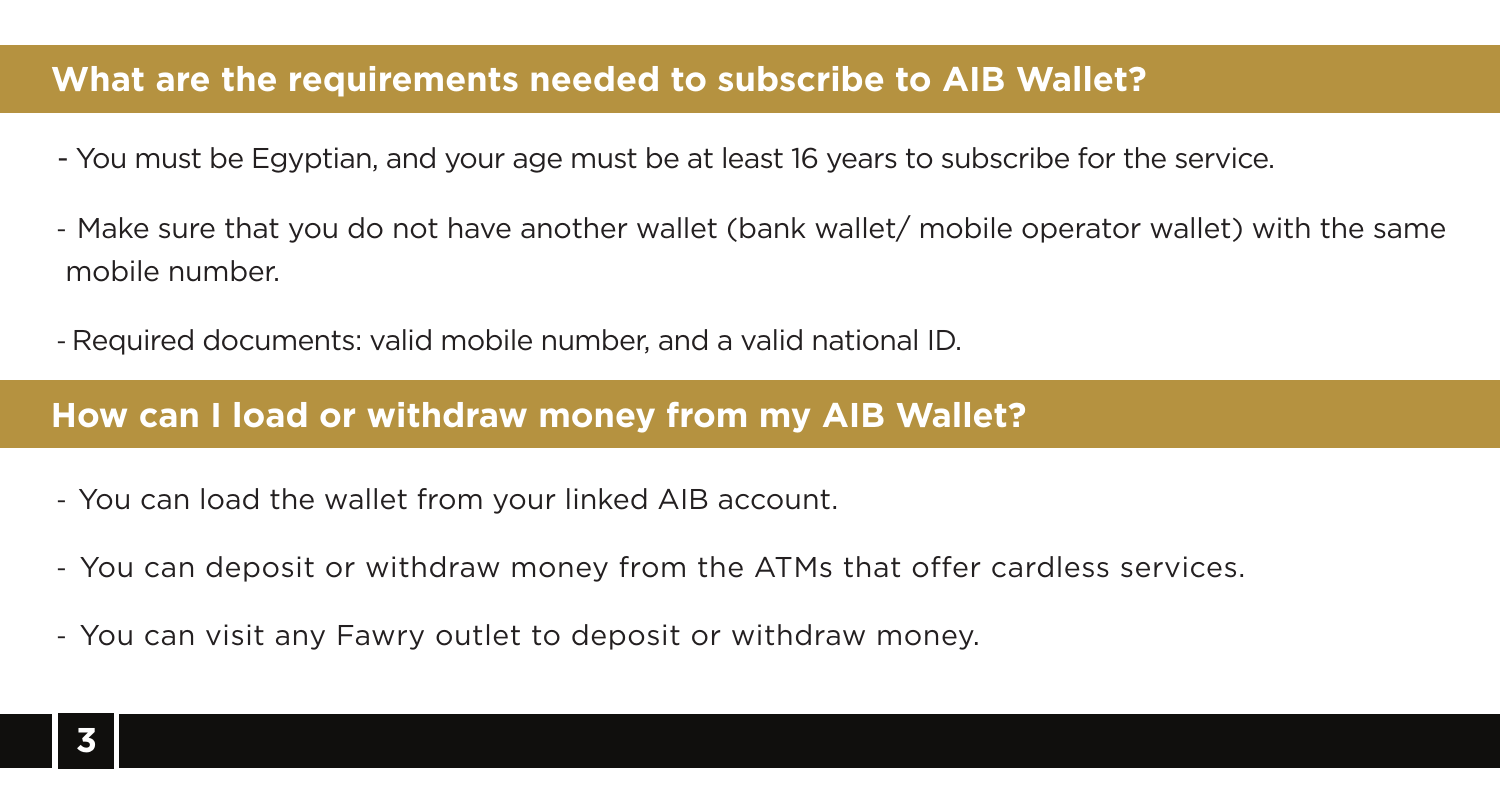#### **What are the requirements needed to subscribe to AIB Wallet?**

- You must be Egyptian, and your age must be at least 16 years to subscribe for the service.
- Make sure that you do not have another wallet (bank wallet/ mobile operator wallet) with the same mobile number.
- Required documents: valid mobile number, and a valid national ID.

#### **How can I load or withdraw money from my AIB Wallet?**

- You can load the wallet from your linked AIB account.
- You can deposit or withdraw money from the ATMs that offer cardless services.
- You can visit any Fawry outlet to deposit or withdraw money.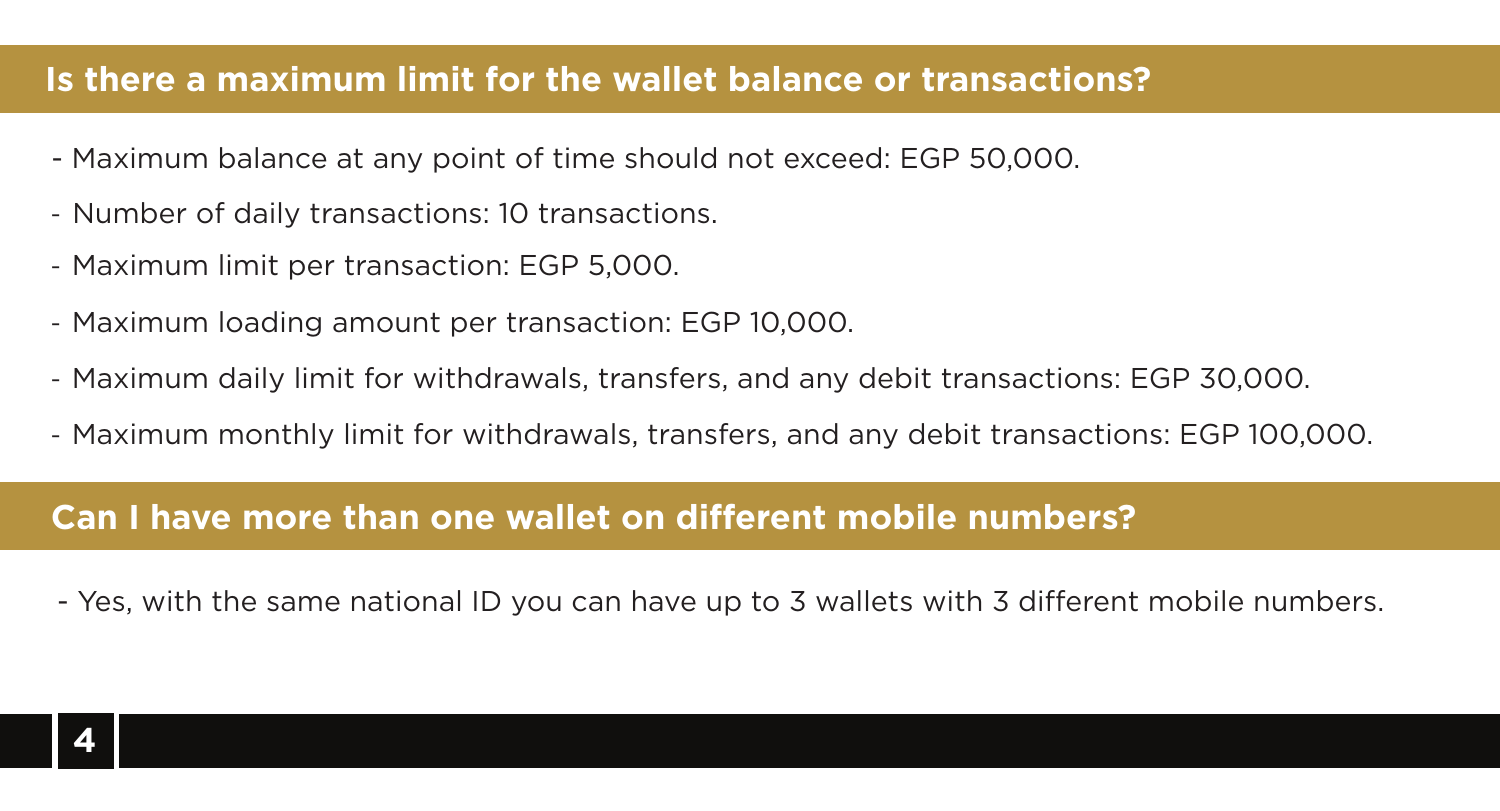#### **Is there a maximum limit for the wallet balance or transactions?**

- Maximum balance at any point of time should not exceed: EGP 50,000.
- Number of daily transactions: 10 transactions.
- Maximum limit per transaction: EGP 5,000.
- Maximum loading amount per transaction: EGP 10,000.
- Maximum daily limit for withdrawals, transfers, and any debit transactions: EGP 30,000.
- Maximum monthly limit for withdrawals, transfers, and any debit transactions: EGP 100,000.

#### **Can I have more than one wallet on different mobile numbers?**

- Yes, with the same national ID you can have up to 3 wallets with 3 different mobile numbers.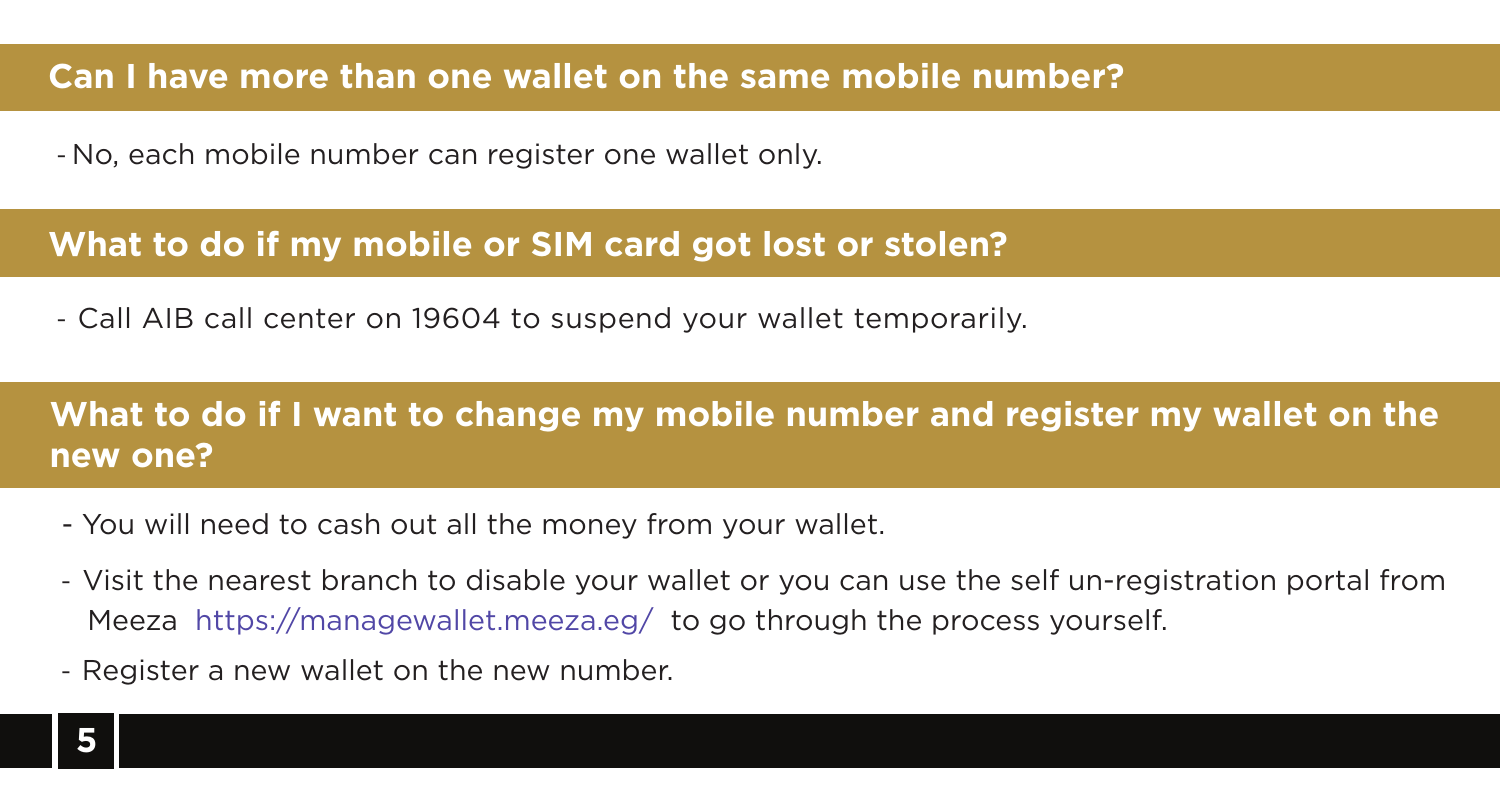#### **Can I have more than one wallet on the same mobile number?**

- No, each mobile number can register one wallet only.

#### **What to do if my mobile or SIM card got lost or stolen?**

- Call AIB call center on 19604 to suspend your wallet temporarily.

### **What to do if I want to change my mobile number and register my wallet on the new one?**

- You will need to cash out all the money from your wallet.
- Visit the nearest branch to disable your wallet or you can use the self un-registration portal from Meeza https://managewallet.meeza.eg/ to go through the process yourself.
- Register a new wallet on the new number.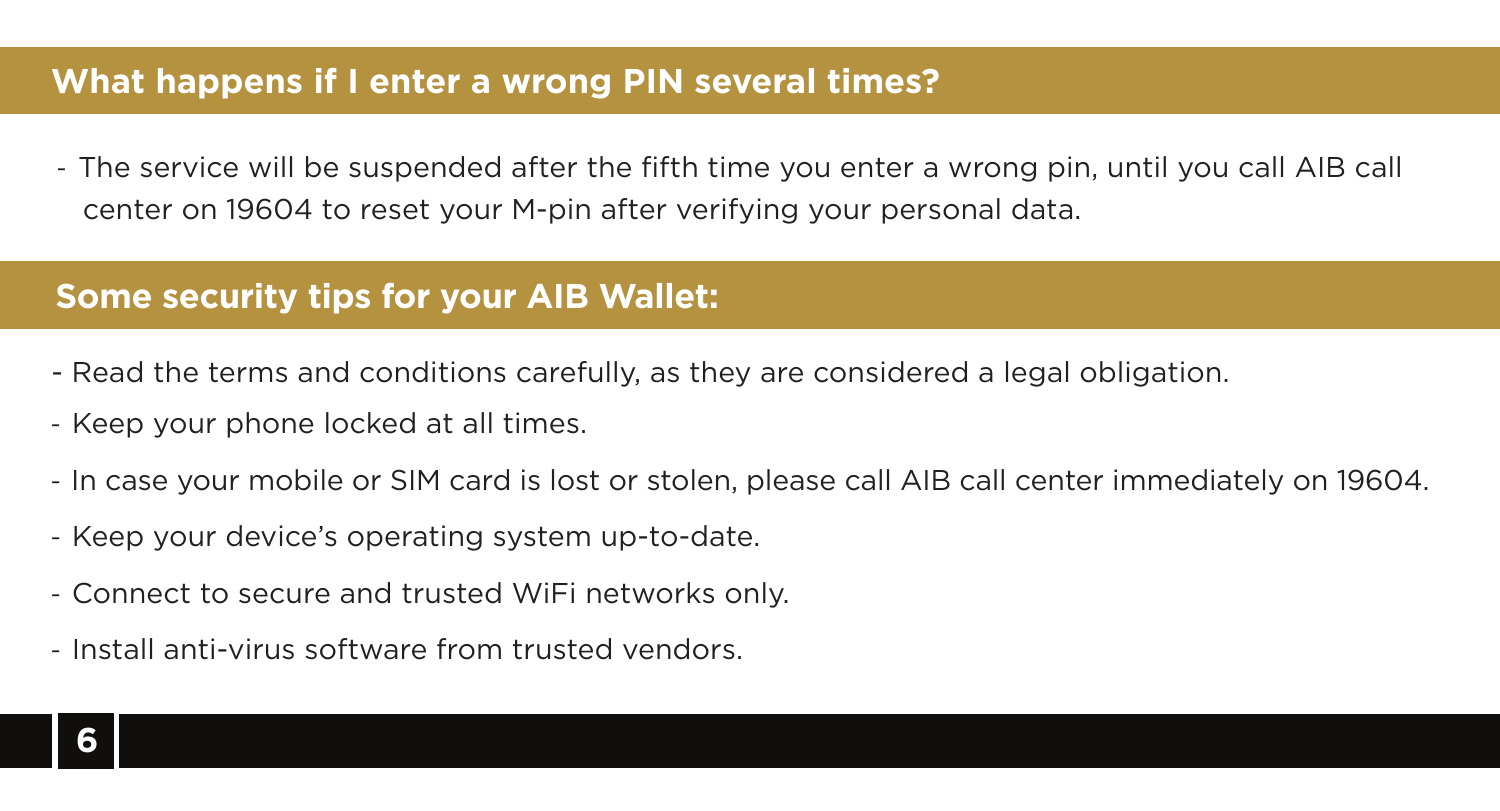#### **What happens if I enter a wrong PIN several times?**

- The service will be suspended after the fifth time you enter a wrong pin, until you call AIB call center on 19604 to reset your M-pin after verifying your personal data.

#### **Some security tips for your AIB Wallet:**

- Read the terms and conditions carefully, as they are considered a legal obligation.
- Keep your phone locked at all times.
- In case your mobile or SIM card is lost or stolen, please call AIB call center immediately on 19604.
- Keep your device's operating system up-to-date.
- Connect to secure and trusted WiFi networks only.
- Install anti-virus software from trusted vendors.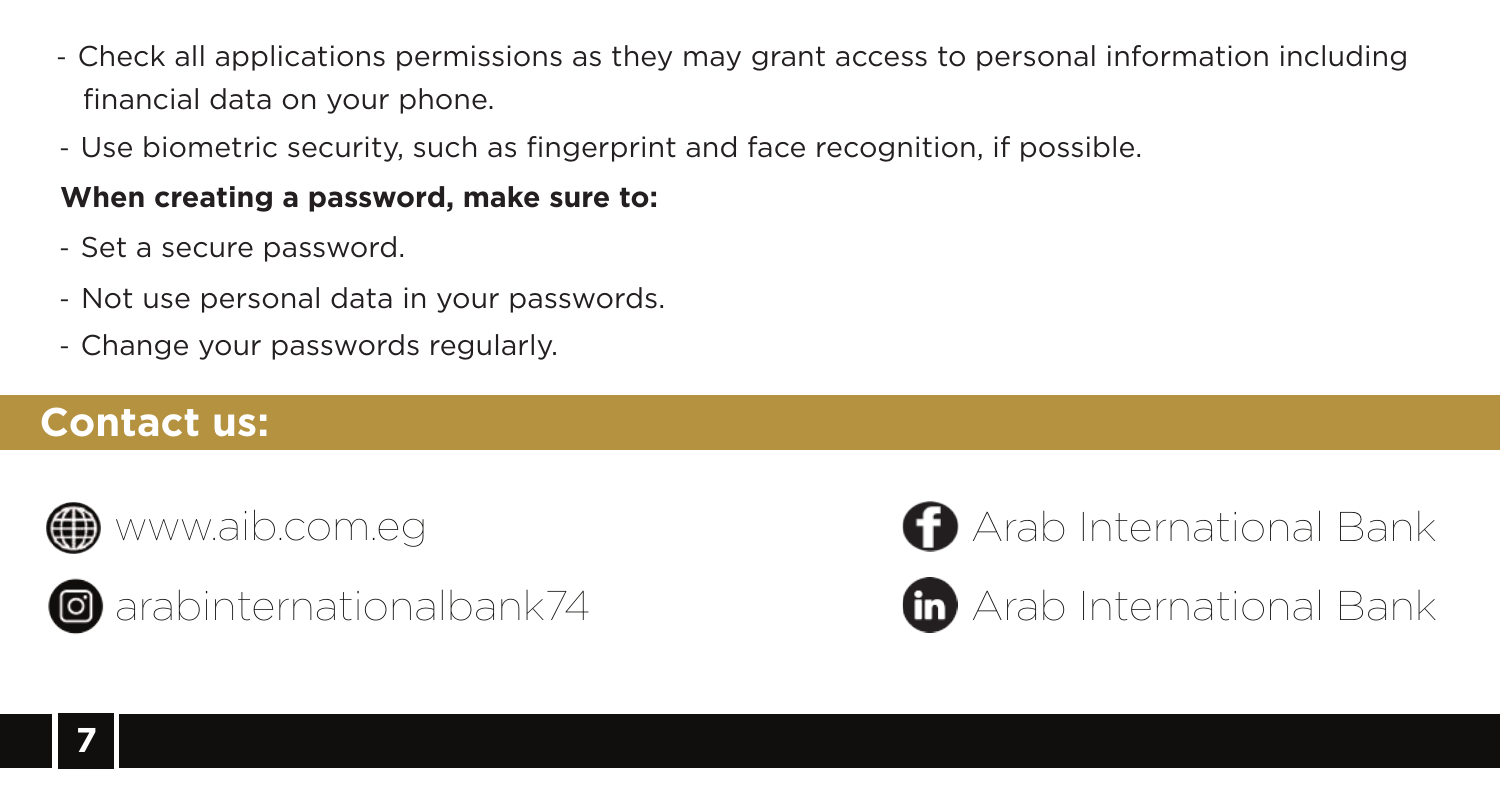- Check all applications permissions as they may grant access to personal information including financial data on your phone.
- Use biometric security, such as fingerprint and face recognition, if possible.

#### **When creating a password, make sure to:**

- Set a secure password.
- Not use personal data in your passwords.
- Change your passwords regularly.

## **Contact us:**





**a** arabinternationalbank74





Arab International Bank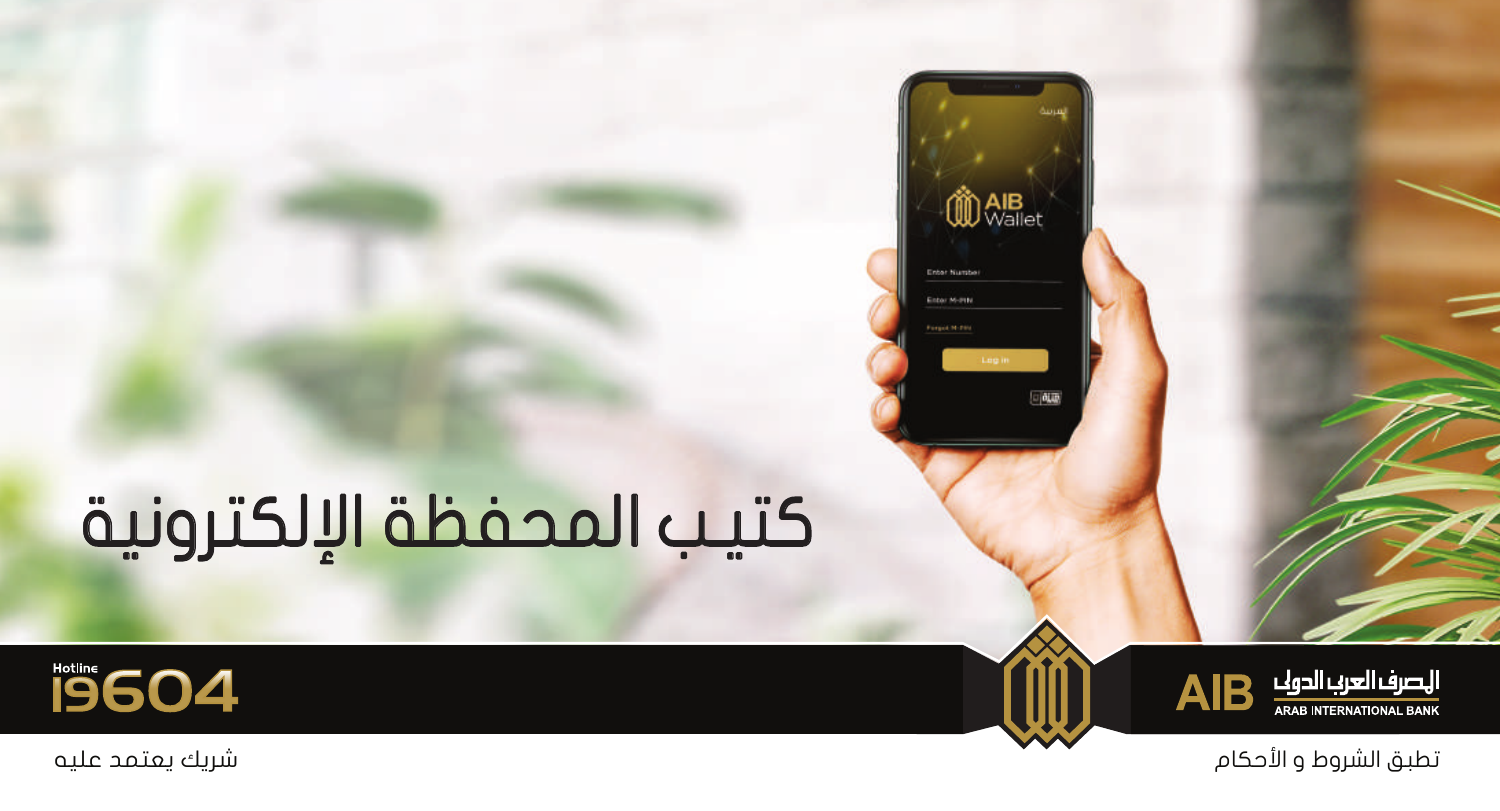## كتيـب المحفظة الإلكترونية





**OD** AlB<sub>et</sub>

高麗

**Febar Museum** Enter M-2HM

تطبق الشروط و الأحكام شريك يعتمد عليه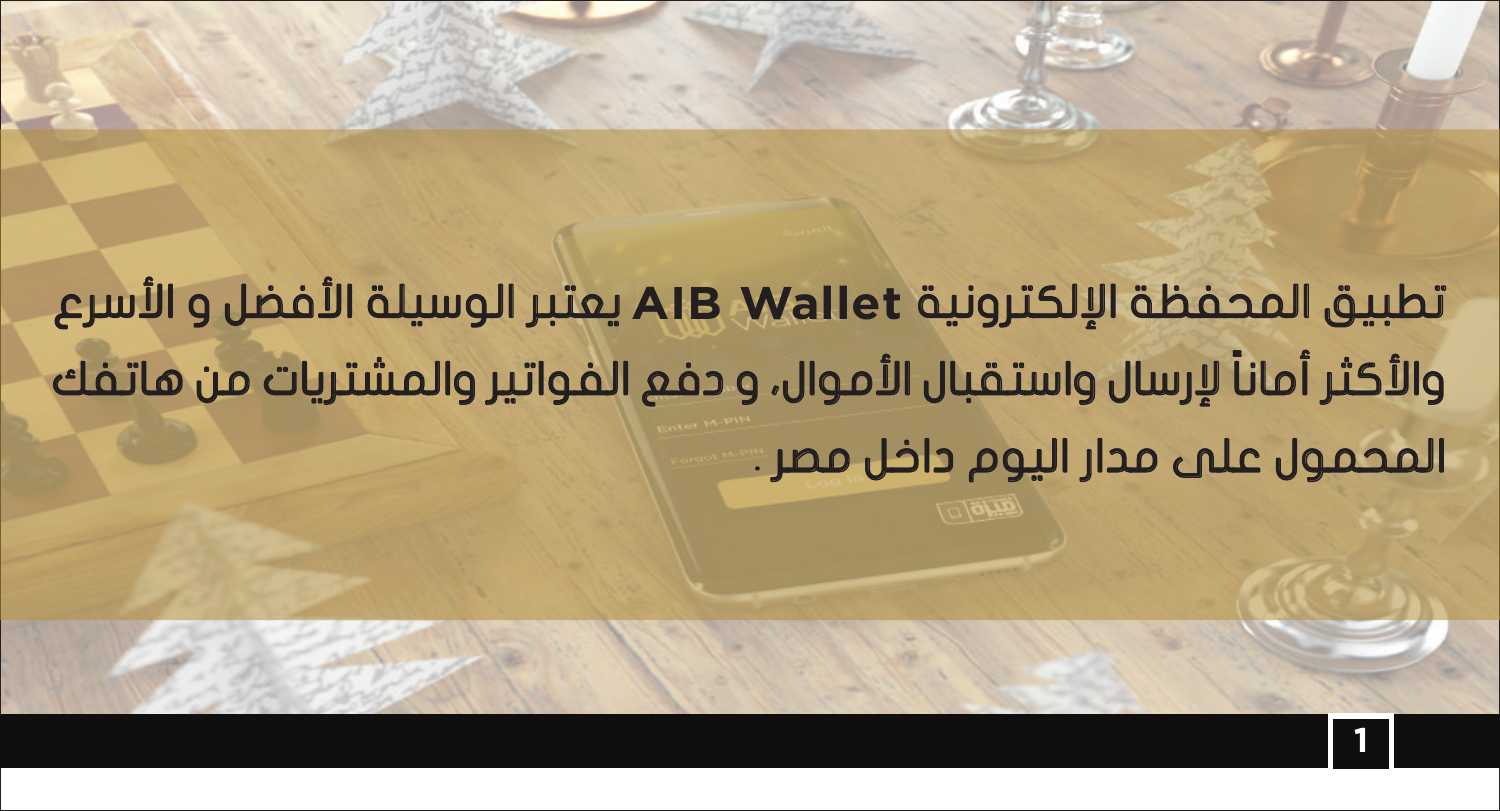تطبيق المحفظة الإلكترونية يعتبر الوسيلة الأفضل و الأسرع  **AIB Wallet** ً والأكثر أمانا لإرسال واستقبال الأموال، و دفع الفواتير والمشتريات من هاتفك المحمول على مدار اليوم داخل مصر .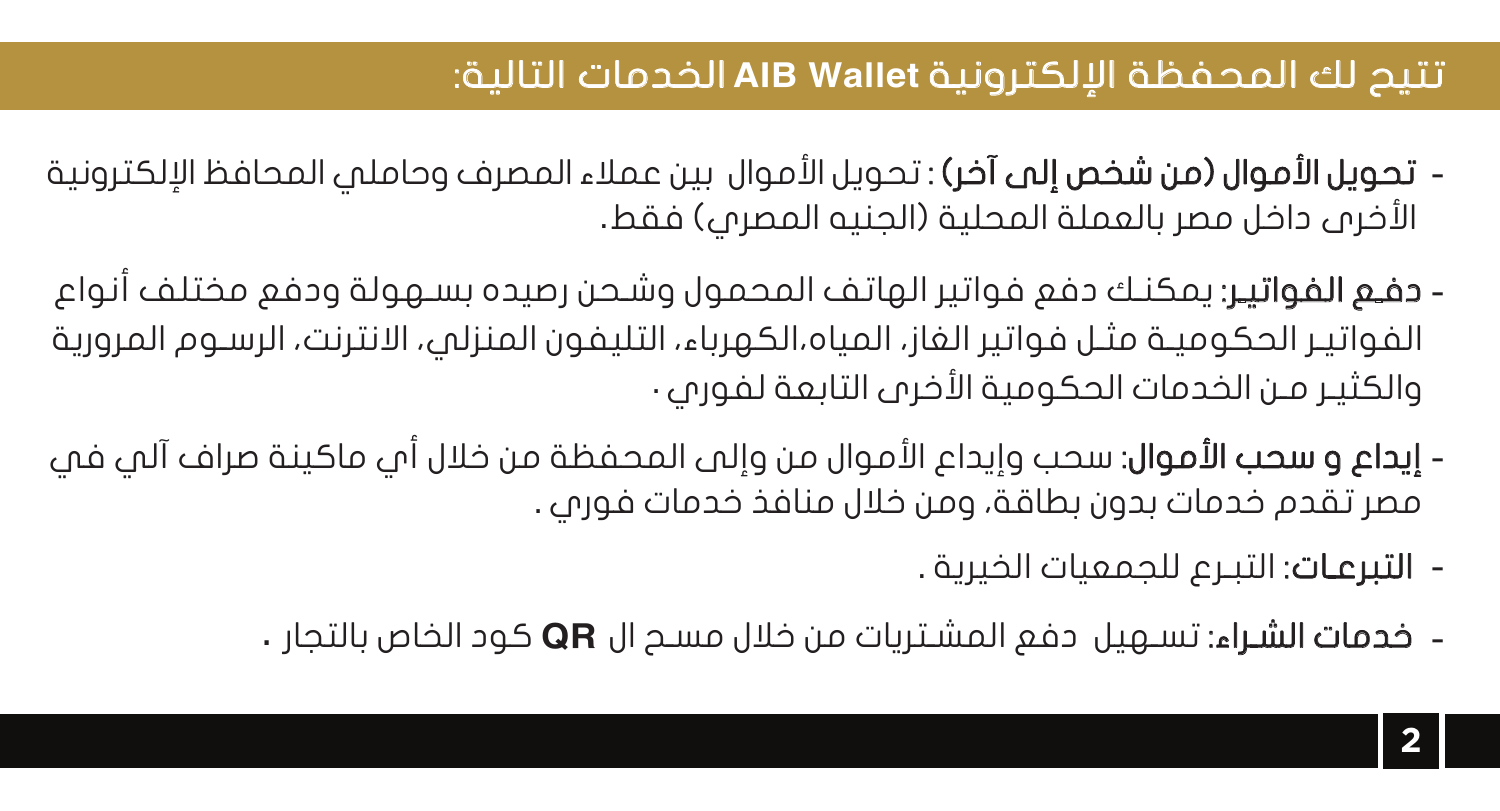## *Wallet AIB* تتيح لك المحفظة الإلكترونية الخدمات التالية:

- تحويل الأموال (من شخص إلى آخر) : تحويل الأموال بين عملاء المصرف وحاملي المحافظ الإلكترونية الأخرى داخل مصر بالعملة المحلية (الجنيه المصري) فقط .
- **دفـع الفواتيـر**: يمكنـك دفع فواتير الهاتف المحمول وشـحن رصيده بسـهولة ودفع مختلف انواع الفواتيـر الحكوميـة مثـل فواتير الغاز، المياه،الكهرباء، التليفون المنزلي، الانترنت، الرسـوم المرورية والكثيـر مـن الخدمات الحكومية الأخرى التابعة لفوري .
- **إيداع و سحب الأموال**: سحب وإيداع الأموال من وإلى المحفظة من خلال أمٍ، ماكينة صراف آلمٍ، فمِ مصر تقدم خدمات بدون بطاقة، ومن خلال منافذ خدمات فوري .
	- التبرعـات: التبـرع للجمعيات الخيرية .
	- خدمات الشـراء: *QR* تسـهيل دفع المشـتريات من خلال مسـح ال كود الخاص بالتجار .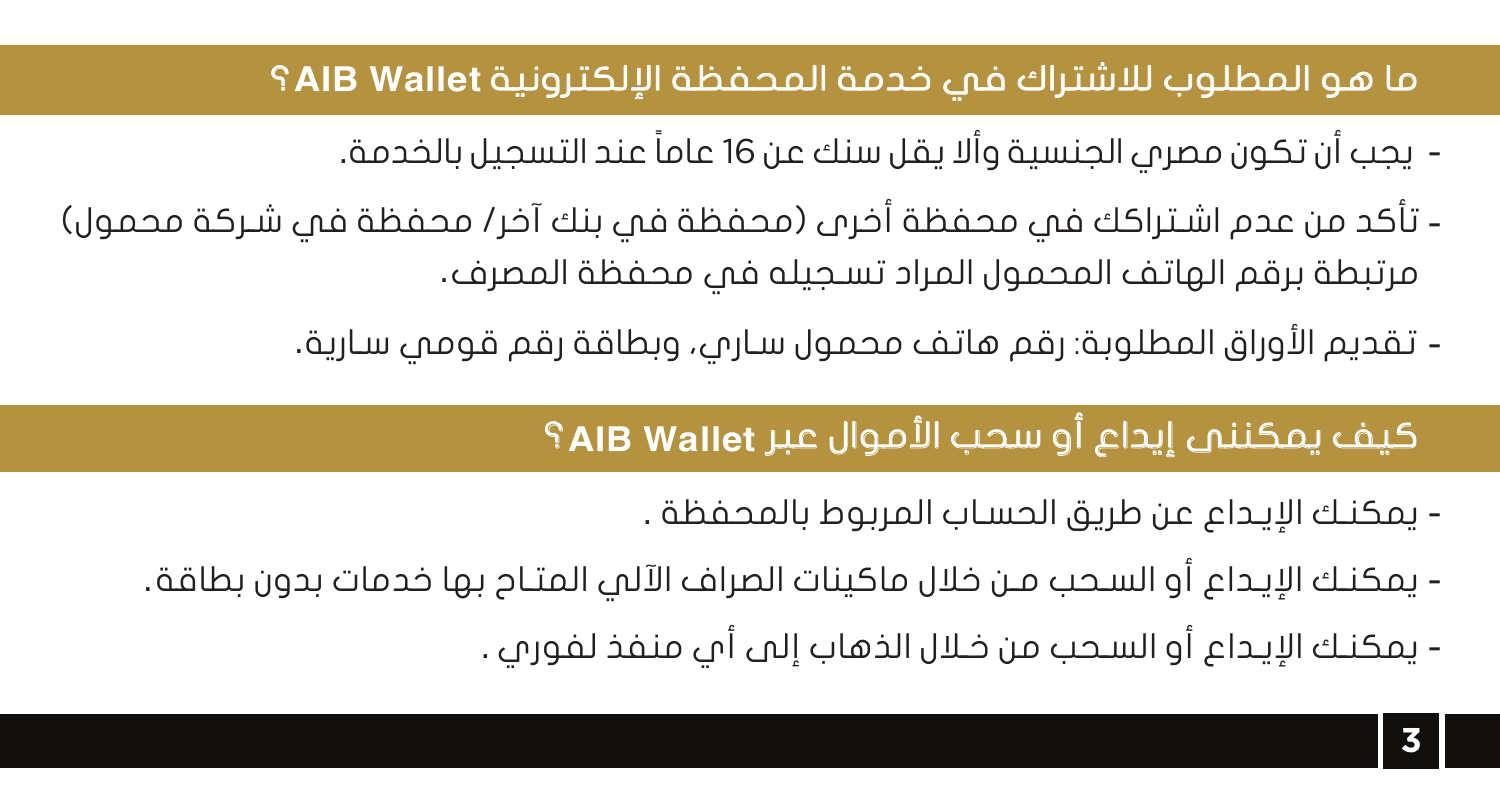## *Wallet AIB* ما هو المطلوب للاشتراك في خدمة المحفظة الإلكترونية ؟

- يجب أن تكون مصري الجنسية وألا يقل سنك عن 16 ً عاما عند التسجيل بالخدمة.
- تأكد من عدم اشـتراكك في محفظة أخرى (محفظة في بنك آخر/ محفظة في شـركة محمول) مرتبطة برقم الهاتف المحمول المراد تسـجيله في محفظة المصرف .
	- تقديم الأوراق المطلوبة: رقم هاتف محمول سـاري، وبطاقة رقم قومي سـارية.

## *Wallet AIB* كيف يمكننى إيداع أو سحب الأموال عبر ؟

- يمكنـك الإيـداع عن طريق الحسـاب المربوط بالمحفظة .
- يمكنـك الإيـداع أو السـحب مـن خلال ماكينات الصراف الآلي المتـاح بها خدمات بدون بطاقة.
	- يمكنـك الإيـداع أو السـحب من خـلال الذهاب إلى أي منفذ لفوري .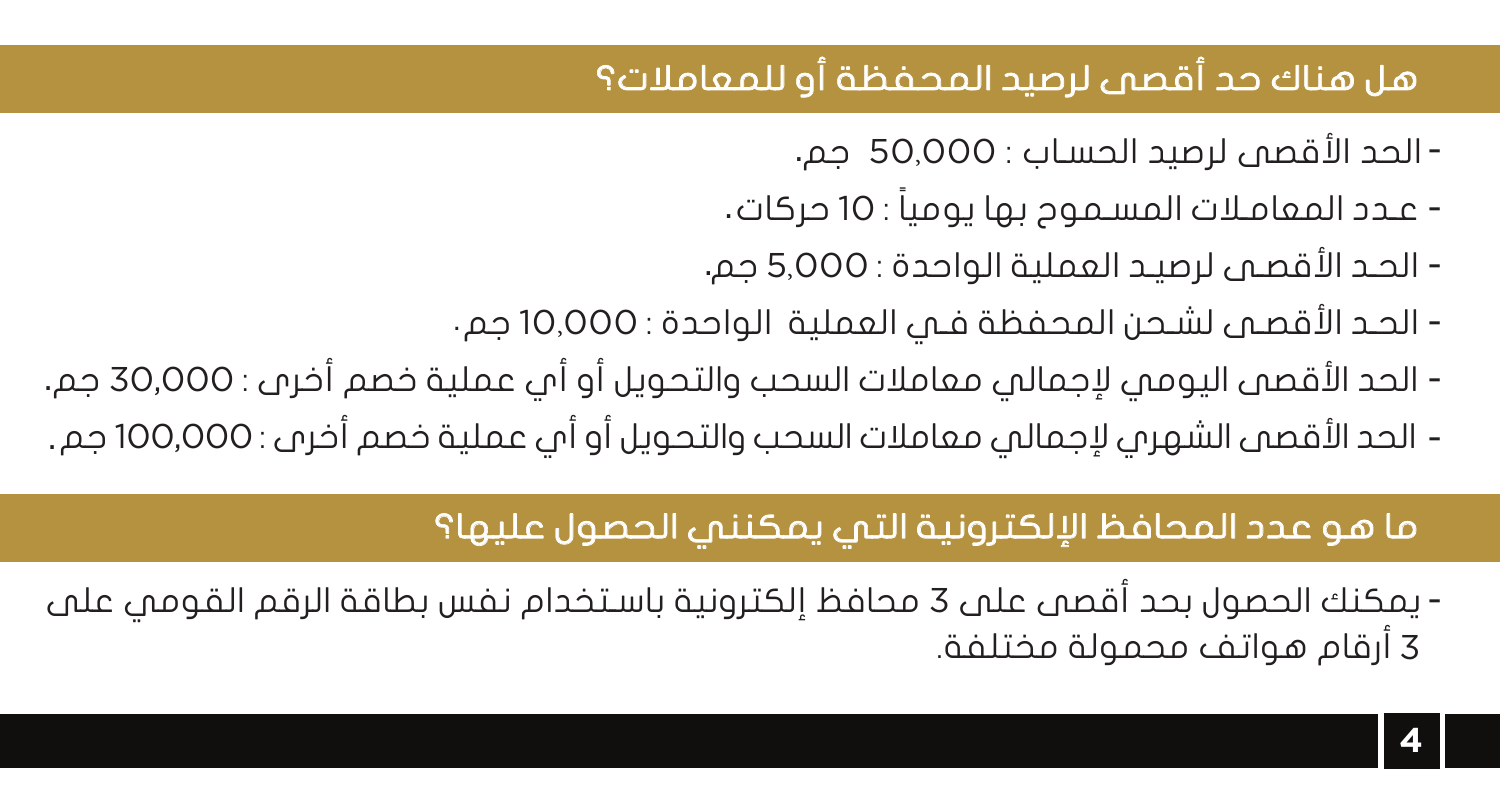## هل هناك حد أقصى لرصيد المحفظة أو للمعاملات؟

- الحد الأقصى لرصيد الحسـاب : 50,000 جم.
- ً عـدد المعامـلات المسـموح بها يوميا : 10 حركات.
- الحـد الأقصـى لرصيـد العملية الواحدة : 5,000 جم.
- الحـد الأقصـى لشـحن المحفظة فـي العملية الواحدة : 10,000 جم.
- الحد الأقصى اليومي لإجمالي معاملات السحب والتحويل أو أي عملية خصم أخرى : 30,000 جم.
- الحد الأقصى الشهري لإجمالي معاملات السحب والتحويل أو أي عملية خصم أخرى : 100,000 جم.

## ما هو عدد المحافظ الإلكترونية التي يمكنني الحصول عليها؟

يمكنك الحصول بحد أقصى على 3 محافظ إلكترونية باسـتخدام نفس بطاقة الرقم القومي على - 3 أرقام هواتف محمولة مختلفة.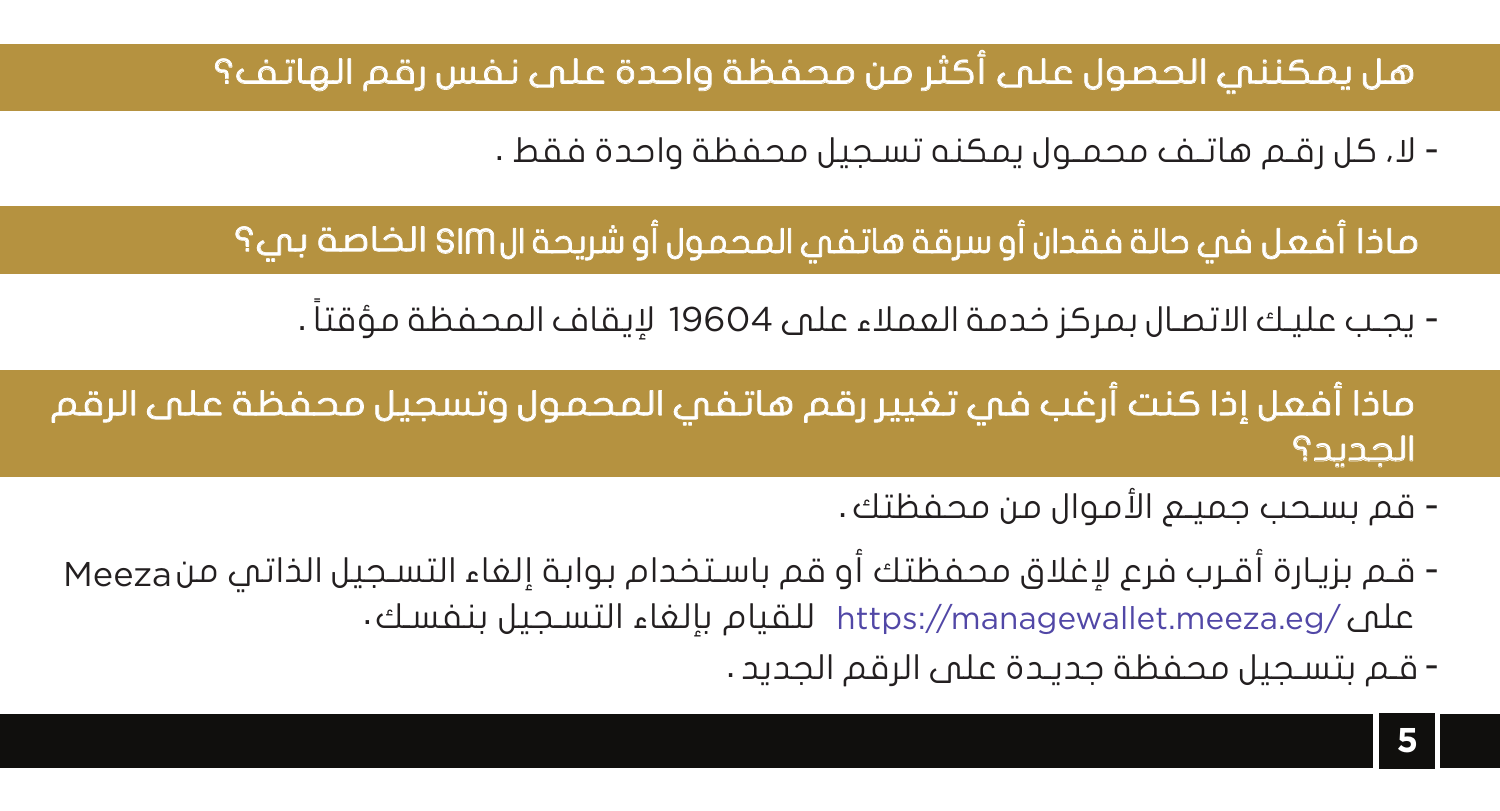## هل يمكنني الحصول على أكثر من محفظة واحدة على نفس رقم الهاتف؟

- لا، كل رقـم هاتـف محمـول يمكنه تسـجيل محفظة واحدة فقط .

ماذا أفعل في حالة فقدان أو سرقة هاتفي المحمول أو شريحة الSIM الخاصة بي؟

- يجـب عليـك الاتصـال بمركز خدمة العملاء على 19604 ً لإيقاف المحفظة مؤقتا .

ماذا أفعل إذا كنت أرغب في تغيير رقم هاتفي المحمول وتسجيل محفظة على الرقم الجديد؟

- قم بسـحب جميـع الأموال من محفظتك .
- قـم بزيـارة أقـرب فرع لإغلاق محفظتك أو قم باسـتخدام بوابة إلغاء التسـجيل الذاتي من Meeza علم /https://managewallet.meeza.eg للقيام بإلفاء التسـجيل بنفسـك .
	- -قـم بتسـجيل محفظة جديـدة على الرقم الجديد .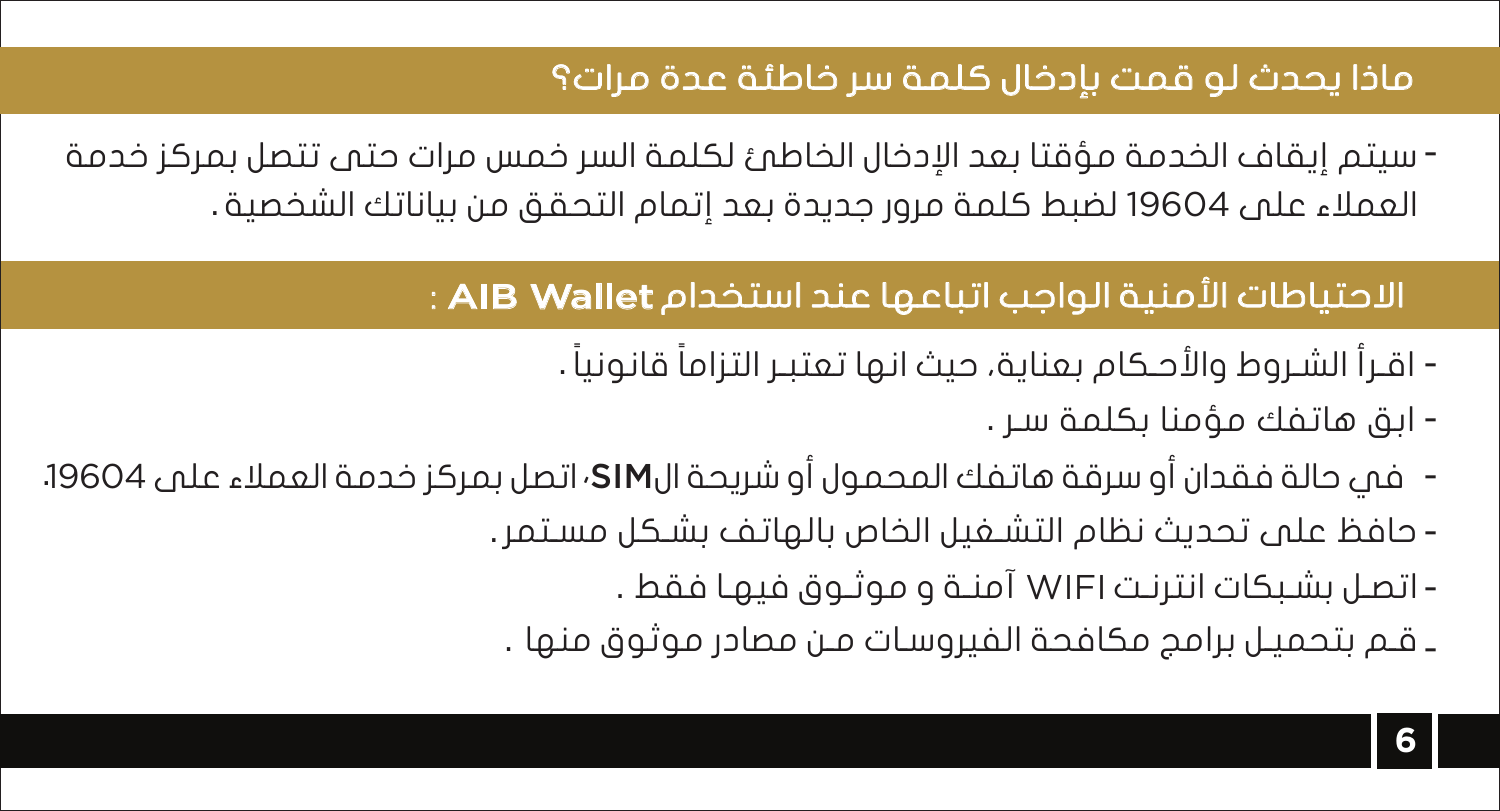## ماذا يحدث لو قمت بإدخال كلمة سر خاطئة عدة مرات؟

سيتم إيقاف الخدمة مؤقتا بعد الإدخال الخاطئ لكلمة السر خمس مرات حتى تتصل بمركز خدمة - العملاء على 19604 لضبط كلمة مرور جديدة بعد إتمام التحقق من بياناتك الشخصية .

## الاحتياطات الأمنية الواجب اتباعها عند استخدامWallet AIB :

- ً اقـرأ الشـروط والأحـكام بعناية، حيث انها تعتبـر التزاما ً قانونيا .
	- ابق هاتفك مؤمنا بكلمة سـر .
- SIM، في حالة فقدان أو سرقة هاتفك المحمول أو شريحة ال اتصل بمركز خدمة العملاء على .19604
	- -حافظ على تحديث نظام التشـغيل الخاص بالهاتف بشـكل مسـتمر.
		- WIFI اتصـل بشـبكات انترنـت آمنـة و موثـوق فيهـا فقط .
	- . -قـم بتحميـل برامج مكافحة الفيروسـات مـن مصادر موثوق منها